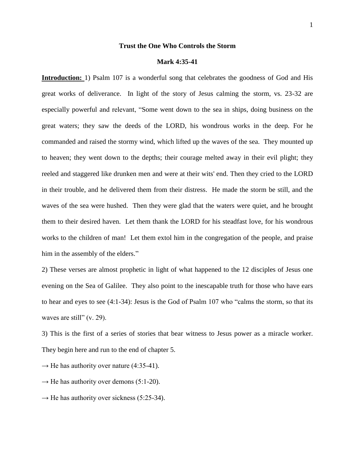### **Trust the One Who Controls the Storm**

#### **Mark 4:35-41**

**Introduction:** 1) Psalm 107 is a wonderful song that celebrates the goodness of God and His great works of deliverance. In light of the story of Jesus calming the storm, vs. 23-32 are especially powerful and relevant, "Some went down to the sea in ships, doing business on the great waters; they saw the deeds of the LORD, his wondrous works in the deep. For he commanded and raised the stormy wind, which lifted up the waves of the sea. They mounted up to heaven; they went down to the depths; their courage melted away in their evil plight; they reeled and staggered like drunken men and were at their wits' end. Then they cried to the LORD in their trouble, and he delivered them from their distress. He made the storm be still, and the waves of the sea were hushed. Then they were glad that the waters were quiet, and he brought them to their desired haven. Let them thank the LORD for his steadfast love, for his wondrous works to the children of man! Let them extol him in the congregation of the people, and praise him in the assembly of the elders."

2) These verses are almost prophetic in light of what happened to the 12 disciples of Jesus one evening on the Sea of Galilee. They also point to the inescapable truth for those who have ears to hear and eyes to see (4:1-34): Jesus is the God of Psalm 107 who "calms the storm, so that its waves are still" (v. 29).

3) This is the first of a series of stories that bear witness to Jesus power as a miracle worker. They begin here and run to the end of chapter 5.

- $\rightarrow$  He has authority over nature (4:35-41).
- $\rightarrow$  He has authority over demons (5:1-20).
- $\rightarrow$  He has authority over sickness (5:25-34).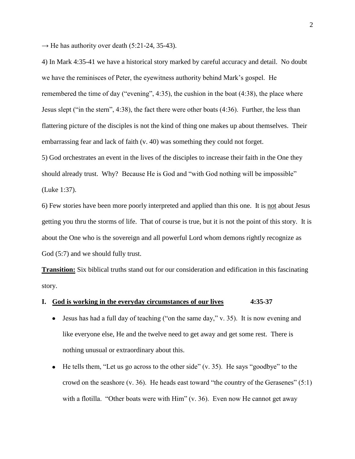$\rightarrow$  He has authority over death (5:21-24, 35-43).

4) In Mark 4:35-41 we have a historical story marked by careful accuracy and detail. No doubt we have the reminisces of Peter, the eyewitness authority behind Mark's gospel. He remembered the time of day ("evening", 4:35), the cushion in the boat (4:38), the place where Jesus slept ("in the stern", 4:38), the fact there were other boats (4:36). Further, the less than flattering picture of the disciples is not the kind of thing one makes up about themselves. Their embarrassing fear and lack of faith (v. 40) was something they could not forget.

5) God orchestrates an event in the lives of the disciples to increase their faith in the One they should already trust. Why? Because He is God and "with God nothing will be impossible" (Luke 1:37).

6) Few stories have been more poorly interpreted and applied than this one. It is not about Jesus getting you thru the storms of life. That of course is true, but it is not the point of this story. It is about the One who is the sovereign and all powerful Lord whom demons rightly recognize as God (5:7) and we should fully trust.

**Transition:** Six biblical truths stand out for our consideration and edification in this fascinating story.

### **I. God is working in the everyday circumstances of our lives 4:35-37**

- $\bullet$  Jesus has had a full day of teaching ("on the same day," v. 35). It is now evening and like everyone else, He and the twelve need to get away and get some rest. There is nothing unusual or extraordinary about this.
- $\bullet$  He tells them, "Let us go across to the other side" (v. 35). He says "goodbye" to the crowd on the seashore  $(v. 36)$ . He heads east toward "the country of the Gerasenes"  $(5:1)$ with a flotilla. "Other boats were with Him" (v. 36). Even now He cannot get away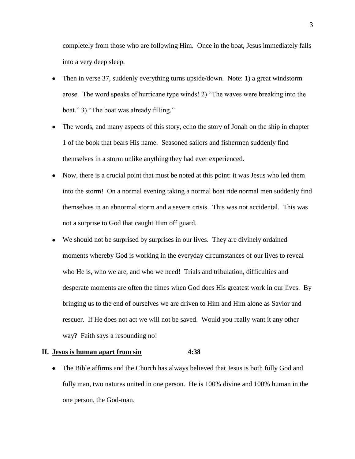completely from those who are following Him. Once in the boat, Jesus immediately falls into a very deep sleep.

- Then in verse 37, suddenly everything turns upside/down. Note: 1) a great windstorm  $\bullet$ arose. The word speaks of hurricane type winds! 2) "The waves were breaking into the boat." 3) "The boat was already filling."
- The words, and many aspects of this story, echo the story of Jonah on the ship in chapter 1 of the book that bears His name. Seasoned sailors and fishermen suddenly find themselves in a storm unlike anything they had ever experienced.
- Now, there is a crucial point that must be noted at this point: it was Jesus who led them into the storm! On a normal evening taking a normal boat ride normal men suddenly find themselves in an abnormal storm and a severe crisis. This was not accidental. This was not a surprise to God that caught Him off guard.
- We should not be surprised by surprises in our lives. They are divinely ordained  $\bullet$ moments whereby God is working in the everyday circumstances of our lives to reveal who He is, who we are, and who we need! Trials and tribulation, difficulties and desperate moments are often the times when God does His greatest work in our lives. By bringing us to the end of ourselves we are driven to Him and Him alone as Savior and rescuer. If He does not act we will not be saved. Would you really want it any other way? Faith says a resounding no!

### **II. Jesus is human apart from sin 4:38**

• The Bible affirms and the Church has always believed that Jesus is both fully God and fully man, two natures united in one person. He is 100% divine and 100% human in the one person, the God-man.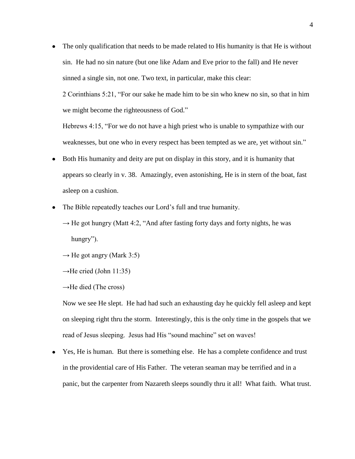The only qualification that needs to be made related to His humanity is that He is without sin. He had no sin nature (but one like Adam and Eve prior to the fall) and He never sinned a single sin, not one. Two text, in particular, make this clear:

2 Corinthians 5:21, "For our sake he made him to be sin who knew no sin, so that in him we might become the righteousness of God."

Hebrews 4:15, "For we do not have a high priest who is unable to sympathize with our weaknesses, but one who in every respect has been tempted as we are, yet without sin."

- Both His humanity and deity are put on display in this story, and it is humanity that  $\bullet$ appears so clearly in v. 38. Amazingly, even astonishing, He is in stern of the boat, fast asleep on a cushion.
- The Bible repeatedly teaches our Lord's full and true humanity.  $\bullet$ 
	- $\rightarrow$  He got hungry (Matt 4:2, "And after fasting forty days and forty nights, he was hungry").
	- $\rightarrow$  He got angry (Mark 3:5)
	- $\rightarrow$ He cried (John 11:35)
	- $\rightarrow$ He died (The cross)

Now we see He slept. He had had such an exhausting day he quickly fell asleep and kept on sleeping right thru the storm. Interestingly, this is the only time in the gospels that we read of Jesus sleeping. Jesus had His "sound machine" set on waves!

Yes, He is human. But there is something else. He has a complete confidence and trust  $\bullet$ in the providential care of His Father. The veteran seaman may be terrified and in a panic, but the carpenter from Nazareth sleeps soundly thru it all! What faith. What trust.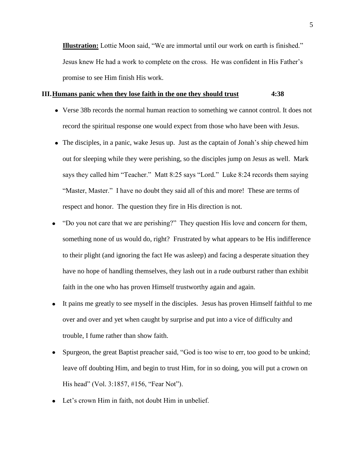**Illustration:** Lottie Moon said, "We are immortal until our work on earth is finished." Jesus knew He had a work to complete on the cross. He was confident in His Father's promise to see Him finish His work.

### **III.Humans panic when they lose faith in the one they should trust 4:38**

- Verse 38b records the normal human reaction to something we cannot control. It does not record the spiritual response one would expect from those who have been with Jesus.
- The disciples, in a panic, wake Jesus up. Just as the captain of Jonah's ship chewed him out for sleeping while they were perishing, so the disciples jump on Jesus as well. Mark says they called him "Teacher." Matt 8:25 says "Lord." Luke 8:24 records them saying "Master, Master." I have no doubt they said all of this and more! These are terms of respect and honor. The question they fire in His direction is not.
- "Do you not care that we are perishing?" They question His love and concern for them, something none of us would do, right? Frustrated by what appears to be His indifference to their plight (and ignoring the fact He was asleep) and facing a desperate situation they have no hope of handling themselves, they lash out in a rude outburst rather than exhibit faith in the one who has proven Himself trustworthy again and again.
- It pains me greatly to see myself in the disciples. Jesus has proven Himself faithful to me  $\bullet$ over and over and yet when caught by surprise and put into a vice of difficulty and trouble, I fume rather than show faith.
- Spurgeon, the great Baptist preacher said, "God is too wise to err, too good to be unkind; leave off doubting Him, and begin to trust Him, for in so doing, you will put a crown on His head" (Vol. 3:1857, #156, "Fear Not").
- Let's crown Him in faith, not doubt Him in unbelief.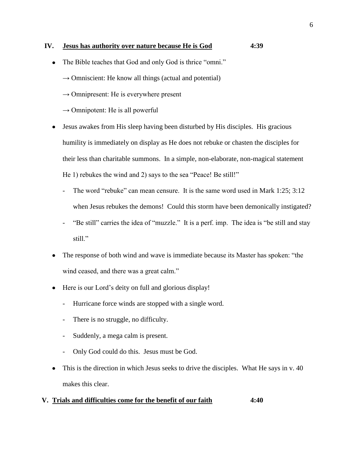# **IV. Jesus has authority over nature because He is God 4:39**

- The Bible teaches that God and only God is thrice "omni."
	- $\rightarrow$  Omniscient: He know all things (actual and potential)
	- $\rightarrow$  Omnipresent: He is everywhere present
	- $\rightarrow$  Omnipotent: He is all powerful
- Jesus awakes from His sleep having been disturbed by His disciples. His gracious  $\bullet$ humility is immediately on display as He does not rebuke or chasten the disciples for their less than charitable summons. In a simple, non-elaborate, non-magical statement He 1) rebukes the wind and 2) says to the sea "Peace! Be still!"
	- The word "rebuke" can mean censure. It is the same word used in Mark 1:25; 3:12 when Jesus rebukes the demons! Could this storm have been demonically instigated?
	- "Be still" carries the idea of "muzzle." It is a perf. imp. The idea is "be still and stay still."
- The response of both wind and wave is immediate because its Master has spoken: "the wind ceased, and there was a great calm."
- Here is our Lord's deity on full and glorious display!  $\bullet$ 
	- Hurricane force winds are stopped with a single word.
	- There is no struggle, no difficulty.
	- Suddenly, a mega calm is present.
	- Only God could do this. Jesus must be God.
- This is the direction in which Jesus seeks to drive the disciples. What He says in v. 40 makes this clear.

# **V. Trials and difficulties come for the benefit of our faith 4:40**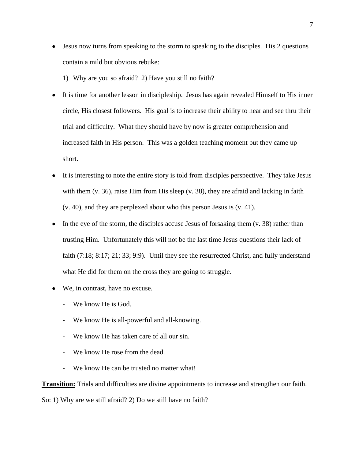• Jesus now turns from speaking to the storm to speaking to the disciples. His 2 questions contain a mild but obvious rebuke:

1) Why are you so afraid? 2) Have you still no faith?

- It is time for another lesson in discipleship. Jesus has again revealed Himself to His inner circle, His closest followers. His goal is to increase their ability to hear and see thru their trial and difficulty. What they should have by now is greater comprehension and increased faith in His person. This was a golden teaching moment but they came up short.
- It is interesting to note the entire story is told from disciples perspective. They take Jesus with them (v. 36), raise Him from His sleep (v. 38), they are afraid and lacking in faith (v. 40), and they are perplexed about who this person Jesus is (v. 41).
- In the eye of the storm, the disciples accuse Jesus of forsaking them (v. 38) rather than trusting Him. Unfortunately this will not be the last time Jesus questions their lack of faith (7:18; 8:17; 21; 33; 9:9). Until they see the resurrected Christ, and fully understand what He did for them on the cross they are going to struggle.
- We, in contrast, have no excuse.
	- We know He is God.
	- We know He is all-powerful and all-knowing.
	- We know He has taken care of all our sin.
	- We know He rose from the dead.
	- We know He can be trusted no matter what!

**Transition:** Trials and difficulties are divine appointments to increase and strengthen our faith.

So: 1) Why are we still afraid? 2) Do we still have no faith?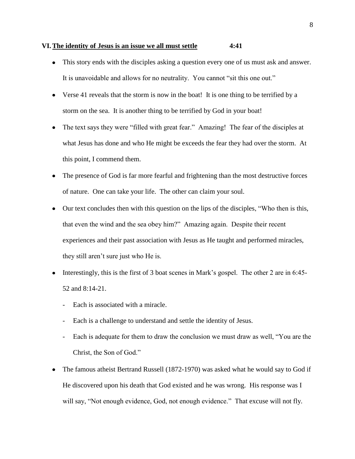#### **VI.The identity of Jesus is an issue we all must settle 4:41**

- This story ends with the disciples asking a question every one of us must ask and answer. It is unavoidable and allows for no neutrality. You cannot "sit this one out."
- Verse 41 reveals that the storm is now in the boat! It is one thing to be terrified by a storm on the sea. It is another thing to be terrified by God in your boat!
- The text says they were "filled with great fear." Amazing! The fear of the disciples at what Jesus has done and who He might be exceeds the fear they had over the storm. At this point, I commend them.
- The presence of God is far more fearful and frightening than the most destructive forces of nature. One can take your life. The other can claim your soul.
- Our text concludes then with this question on the lips of the disciples, "Who then is this, that even the wind and the sea obey him?" Amazing again. Despite their recent experiences and their past association with Jesus as He taught and performed miracles, they still aren't sure just who He is.
- Interestingly, this is the first of 3 boat scenes in Mark's gospel. The other 2 are in 6:45- 52 and 8:14-21.
	- Each is associated with a miracle.
	- Each is a challenge to understand and settle the identity of Jesus.
	- Each is adequate for them to draw the conclusion we must draw as well, "You are the Christ, the Son of God."
- The famous atheist Bertrand Russell (1872-1970) was asked what he would say to God if He discovered upon his death that God existed and he was wrong. His response was I will say, "Not enough evidence, God, not enough evidence." That excuse will not fly.